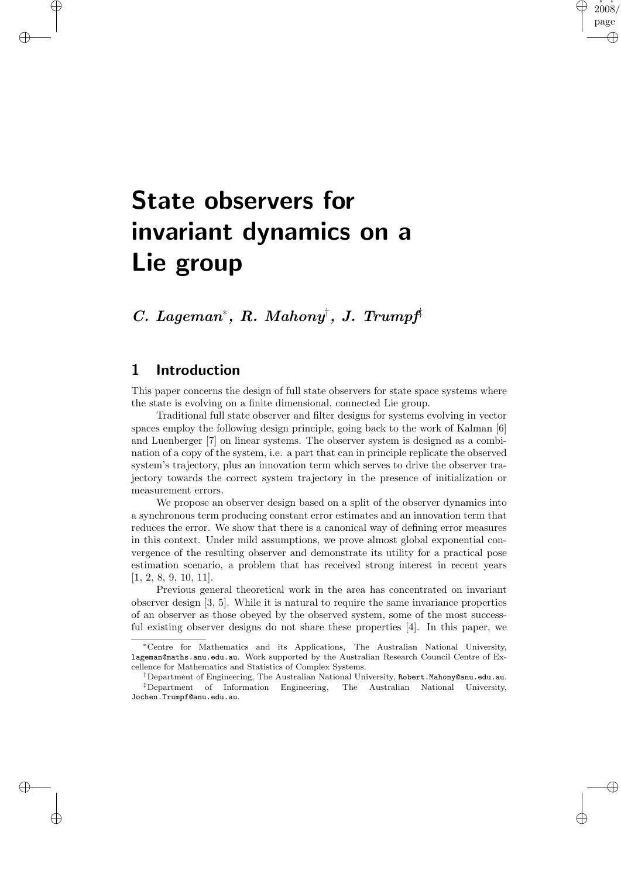# State observers for invariant dynamics on a Lie group

## C. Lageman<sup>∗</sup> , R. Mahony† , J. Trumpf‡

#### 1 Introduction

✐

✐

✐

 $\oplus$ 

This paper concerns the design of full state observers for state space systems where the state is evolving on a finite dimensional, connected Lie group.

"paper"  $\,2008\,$ page

✐

✐

✐

✐

Traditional full state observer and filter designs for systems evolving in vector spaces employ the following design principle, going back to the work of Kalman [6] and Luenberger [7] on linear systems. The observer system is designed as a combination of a copy of the system, i.e. a part that can in principle replicate the observed system's trajectory, plus an innovation term which serves to drive the observer trajectory towards the correct system trajectory in the presence of initialization or measurement errors.

We propose an observer design based on a split of the observer dynamics into a synchronous term producing constant error estimates and an innovation term that reduces the error. We show that there is a canonical way of defining error measures in this context. Under mild assumptions, we prove almost global exponential convergence of the resulting observer and demonstrate its utility for a practical pose estimation scenario, a problem that has received strong interest in recent years [1, 2, 8, 9, 10, 11].

Previous general theoretical work in the area has concentrated on invariant observer design [3, 5]. While it is natural to require the same invariance properties of an observer as those obeyed by the observed system, some of the most successful existing observer designs do not share these properties [4]. In this paper, we

<sup>∗</sup>Centre for Mathematics and its Applications, The Australian National University, lageman@maths.anu.edu.au. Work supported by the Australian Research Council Centre of Excellence for Mathematics and Statistics of Complex Systems.

<sup>†</sup>Department of Engineering, The Australian National University, Robert.Mahony@anu.edu.au. ‡Department of Information Engineering, The Australian National University, Jochen.Trumpf@anu.edu.au.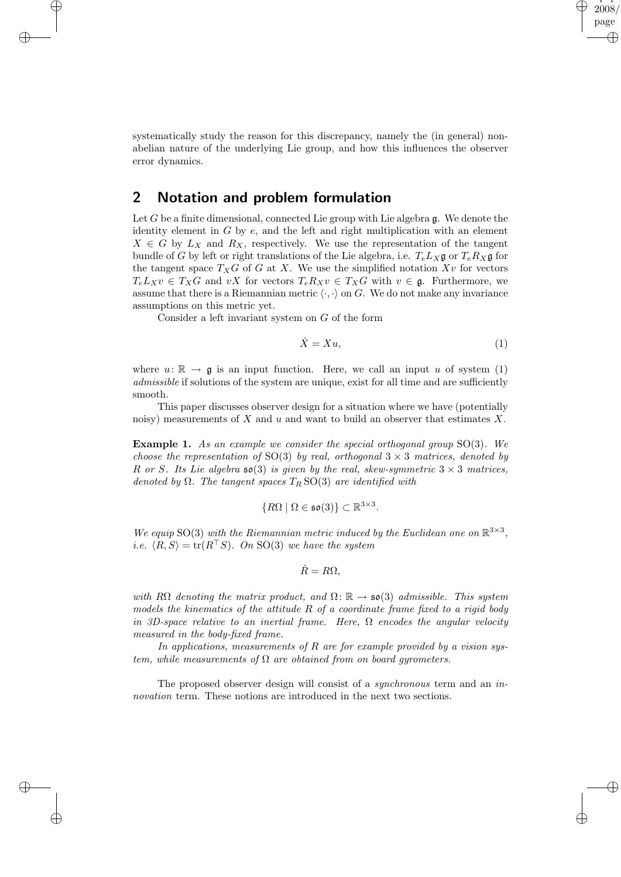

✐

✐

systematically study the reason for this discrepancy, namely the (in general) nonabelian nature of the underlying Lie group, and how this influences the observer error dynamics.

#### 2 Notation and problem formulation

✐

✐

✐

✐

Let  $G$  be a finite dimensional, connected Lie group with Lie algebra  $\mathfrak{g}$ . We denote the identity element in  $G$  by  $e$ , and the left and right multiplication with an element  $X \in G$  by  $L_X$  and  $R_X$ , respectively. We use the representation of the tangent bundle of G by left or right translations of the Lie algebra, i.e.  $T_e L_X \mathfrak{g}$  or  $T_e R_X \mathfrak{g}$  for the tangent space  $T_XG$  of G at X. We use the simplified notation  $Xv$  for vectors  $T_eL_Xv \in T_XG$  and vX for vectors  $T_eR_Xv \in T_XG$  with  $v \in \mathfrak{g}$ . Furthermore, we assume that there is a Riemannian metric  $\langle \cdot, \cdot \rangle$  on G. We do not make any invariance assumptions on this metric yet.

Consider a left invariant system on G of the form

$$
\dot{X} = Xu,\tag{1}
$$

where  $u: \mathbb{R} \to \mathfrak{g}$  is an input function. Here, we call an input u of system (1) admissible if solutions of the system are unique, exist for all time and are sufficiently smooth.

This paper discusses observer design for a situation where we have (potentially noisy) measurements of  $X$  and  $u$  and want to build an observer that estimates  $X$ .

Example 1. As an example we consider the special orthogonal group SO(3). We choose the representation of SO(3) by real, orthogonal  $3 \times 3$  matrices, denoted by R or S. Its Lie algebra  $\mathfrak{so}(3)$  is given by the real, skew-symmetric  $3 \times 3$  matrices, denoted by  $\Omega$ . The tangent spaces  $T_R$  SO(3) are identified with

$$
\{R\Omega \mid \Omega \in \mathfrak{so}(3)\} \subset \mathbb{R}^{3 \times 3}.
$$

We equip SO(3) with the Riemannian metric induced by the Euclidean one on  $\mathbb{R}^{3\times3}$ , *i.e.*  $\langle R, S \rangle = \text{tr}(R^{\top}S)$ . On SO(3) we have the system

$$
\dot{R}=R\Omega,
$$

with R $\Omega$  denoting the matrix product, and  $\Omega \colon \mathbb{R} \to \mathfrak{so}(3)$  admissible. This system models the kinematics of the attitude  $R$  of a coordinate frame fixed to a rigid body in 3D-space relative to an inertial frame. Here,  $\Omega$  encodes the angular velocity measured in the body-fixed frame.

In applications, measurements of  $R$  are for example provided by a vision system, while measurements of  $\Omega$  are obtained from on board gyrometers.

The proposed observer design will consist of a *synchronous* term and an *in*novation term. These notions are introduced in the next two sections.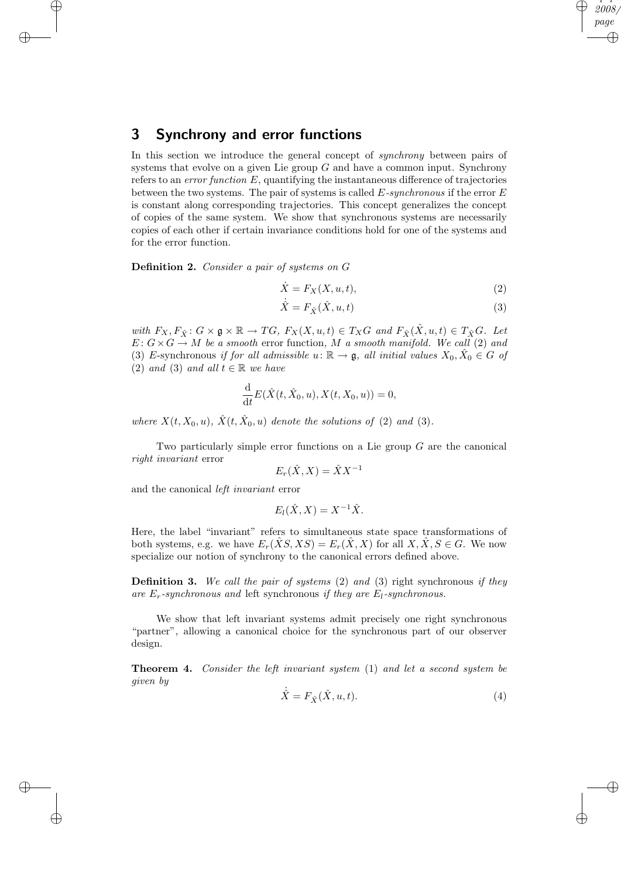### 3 Synchrony and error functions

✐

✐

✐

 $\oplus$ 

In this section we introduce the general concept of *synchrony* between pairs of systems that evolve on a given Lie group  $G$  and have a common input. Synchrony refers to an *error function*  $E$ , quantifying the instantaneous difference of trajectories between the two systems. The pair of systems is called  $E$ -synchronous if the error  $E$ is constant along corresponding trajectories. This concept generalizes the concept of copies of the same system. We show that synchronous systems are necessarily copies of each other if certain invariance conditions hold for one of the systems and for the error function.

Definition 2. Consider a pair of systems on G

$$
\dot{X} = F_X(X, u, t),\tag{2}
$$

 $\mathbf{r} \cdot \mathbf{r}$ 2008 page

✐

✐

✐

✐

$$
\dot{\hat{X}} = F_{\hat{X}}(\hat{X}, u, t) \tag{3}
$$

with  $F_X, F_{\hat{X}}$ :  $G \times \mathfrak{g} \times \mathbb{R} \to TG$ ,  $F_X(X, u, t) \in T_XG$  and  $F_{\hat{X}}(\hat{X}, u, t) \in T_{\hat{X}}G$ . Let  $E: G \times G \to M$  be a smooth error function, M a smooth manifold. We call (2) and (3) E-synchronous if for all admissible  $u: \mathbb{R} \to \mathfrak{g}$ , all initial values  $X_0, \hat{X}_0 \in G$  of (2) and (3) and all  $t \in \mathbb{R}$  we have

$$
\frac{\mathrm{d}}{\mathrm{d}t}E(\hat{X}(t,\hat{X}_0,u),X(t,X_0,u))=0,
$$

where  $X(t, X_0, u)$ ,  $\hat{X}(t, \hat{X}_0, u)$  denote the solutions of (2) and (3).

Two particularly simple error functions on a Lie group  $G$  are the canonical right invariant error

$$
E_r(\hat{X}, X) = \hat{X} X^{-1}
$$

and the canonical left invariant error

$$
E_l(\hat{X}, X) = X^{-1}\hat{X}.
$$

Here, the label "invariant" refers to simultaneous state space transformations of both systems, e.g. we have  $E_r(\hat{X}S,XS) = E_r(\hat{X},X)$  for all  $X, \hat{X}, S \in G$ . We now specialize our notion of synchrony to the canonical errors defined above.

**Definition 3.** We call the pair of systems  $(2)$  and  $(3)$  right synchronous if they are  $E_r$ -synchronous and left synchronous if they are  $E_l$ -synchronous.

We show that left invariant systems admit precisely one right synchronous "partner", allowing a canonical choice for the synchronous part of our observer design.

Theorem 4. Consider the left invariant system (1) and let a second system be given by

$$
\dot{\hat{X}} = F_{\hat{X}}(\hat{X}, u, t). \tag{4}
$$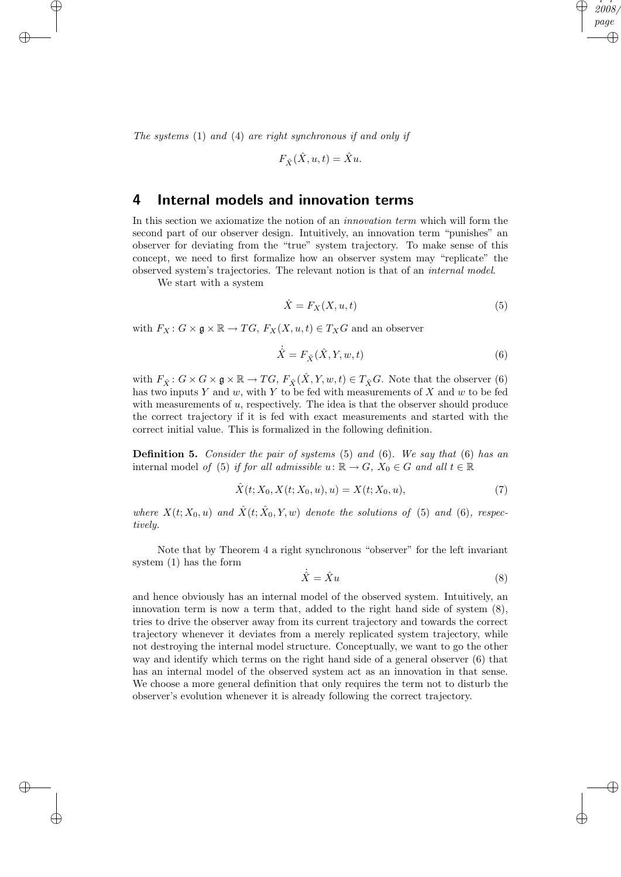The systems (1) and (4) are right synchronous if and only if

$$
F_{\hat{X}}(\hat{X}, u, t) = \hat{X}u.
$$

#### 4 Internal models and innovation terms

In this section we axiomatize the notion of an innovation term which will form the second part of our observer design. Intuitively, an innovation term "punishes" an observer for deviating from the "true" system trajectory. To make sense of this concept, we need to first formalize how an observer system may "replicate" the observed system's trajectories. The relevant notion is that of an internal model.

We start with a system

✐

✐

✐

 $\oplus$ 

$$
\dot{X} = F_X(X, u, t) \tag{5}
$$

 $\mathbf{r} \cdot \mathbf{r}$ 2008 page

✐

✐

✐

✐

with  $F_X: G \times \mathfrak{g} \times \mathbb{R} \to TG, F_X(X, u, t) \in T_XG$  and an observer

$$
\dot{\hat{X}} = F_{\hat{X}}(\hat{X}, Y, w, t) \tag{6}
$$

with  $F_{\hat{X}}$ :  $G \times G \times \mathfrak{g} \times \mathbb{R} \to TG$ ,  $F_{\hat{X}}(\hat{X}, Y, w, t) \in T_{\hat{X}}G$ . Note that the observer (6) has two inputs Y and w, with Y to be fed with measurements of X and w to be fed with measurements of  $u$ , respectively. The idea is that the observer should produce the correct trajectory if it is fed with exact measurements and started with the correct initial value. This is formalized in the following definition.

**Definition 5.** Consider the pair of systems  $(5)$  and  $(6)$ . We say that  $(6)$  has an internal model of (5) if for all admissible  $u: \mathbb{R} \to G$ ,  $X_0 \in G$  and all  $t \in \mathbb{R}$ 

$$
\hat{X}(t; X_0, X(t; X_0, u), u) = X(t; X_0, u), \tag{7}
$$

where  $X(t; X_0, u)$  and  $\hat{X}(t; \hat{X}_0, Y, w)$  denote the solutions of (5) and (6), respectively.

Note that by Theorem 4 a right synchronous "observer" for the left invariant system (1) has the form

$$
\dot{\hat{X}} = \hat{X}u\tag{8}
$$

and hence obviously has an internal model of the observed system. Intuitively, an innovation term is now a term that, added to the right hand side of system (8), tries to drive the observer away from its current trajectory and towards the correct trajectory whenever it deviates from a merely replicated system trajectory, while not destroying the internal model structure. Conceptually, we want to go the other way and identify which terms on the right hand side of a general observer (6) that has an internal model of the observed system act as an innovation in that sense. We choose a more general definition that only requires the term not to disturb the observer's evolution whenever it is already following the correct trajectory.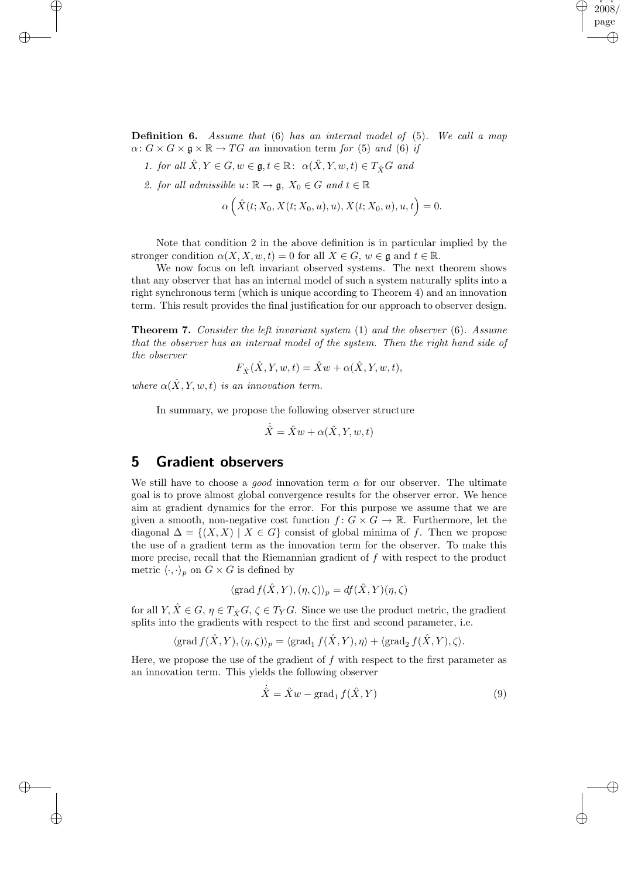**Definition 6.** Assume that  $(6)$  has an internal model of  $(5)$ . We call a map  $\alpha: G \times G \times \mathfrak{g} \times \mathbb{R} \to TG$  an innovation term for (5) and (6) if

"paper" 2008 page

✐

✐

✐

✐

- 1. for all  $\hat{X}, Y \in G, w \in \mathfrak{g}, t \in \mathbb{R}$ :  $\alpha(\hat{X}, Y, w, t) \in T_{\hat{X}}G$  and
- 2. for all admissible  $u: \mathbb{R} \to \mathfrak{g}, X_0 \in G$  and  $t \in \mathbb{R}$

✐

✐

✐

 $\oplus$ 

$$
\alpha\left(\hat{X}(t;X_0,X(t;X_0,u),u),X(t;X_0,u),u,t\right) = 0.
$$

Note that condition 2 in the above definition is in particular implied by the stronger condition  $\alpha(X, X, w, t) = 0$  for all  $X \in G$ ,  $w \in \mathfrak{g}$  and  $t \in \mathbb{R}$ .

We now focus on left invariant observed systems. The next theorem shows that any observer that has an internal model of such a system naturally splits into a right synchronous term (which is unique according to Theorem 4) and an innovation term. This result provides the final justification for our approach to observer design.

Theorem 7. Consider the left invariant system (1) and the observer (6). Assume that the observer has an internal model of the system. Then the right hand side of the observer

$$
F_{\hat{X}}(\hat{X},Y,w,t)=\hat{X}w+\alpha(\hat{X},Y,w,t),
$$

where  $\alpha(\hat{X}, Y, w, t)$  is an innovation term.

In summary, we propose the following observer structure

$$
\dot{\hat{X}} = \hat{X}w + \alpha(\hat{X}, Y, w, t)
$$

### 5 Gradient observers

We still have to choose a *good* innovation term  $\alpha$  for our observer. The ultimate goal is to prove almost global convergence results for the observer error. We hence aim at gradient dynamics for the error. For this purpose we assume that we are given a smooth, non-negative cost function  $f: G \times G \to \mathbb{R}$ . Furthermore, let the diagonal  $\Delta = \{(X, X) \mid X \in G\}$  consist of global minima of f. Then we propose the use of a gradient term as the innovation term for the observer. To make this more precise, recall that the Riemannian gradient of f with respect to the product metric  $\langle \cdot, \cdot \rangle_p$  on  $G \times G$  is defined by

$$
\langle \operatorname{grad} f(\hat{X}, Y), (\eta, \zeta) \rangle_p = df(\hat{X}, Y)(\eta, \zeta)
$$

for all  $Y, \hat{X} \in G$ ,  $\eta \in T_{\hat{X}}G$ ,  $\zeta \in T_YG$ . Since we use the product metric, the gradient splits into the gradients with respect to the first and second parameter, i.e.

$$
\langle \operatorname{grad} f(\hat{X}, Y), (\eta, \zeta) \rangle_p = \langle \operatorname{grad}_1 f(\hat{X}, Y), \eta \rangle + \langle \operatorname{grad}_2 f(\hat{X}, Y), \zeta \rangle.
$$

Here, we propose the use of the gradient of  $f$  with respect to the first parameter as an innovation term. This yields the following observer

$$
\dot{\hat{X}} = \hat{X}w - \text{grad}_1 f(\hat{X}, Y) \tag{9}
$$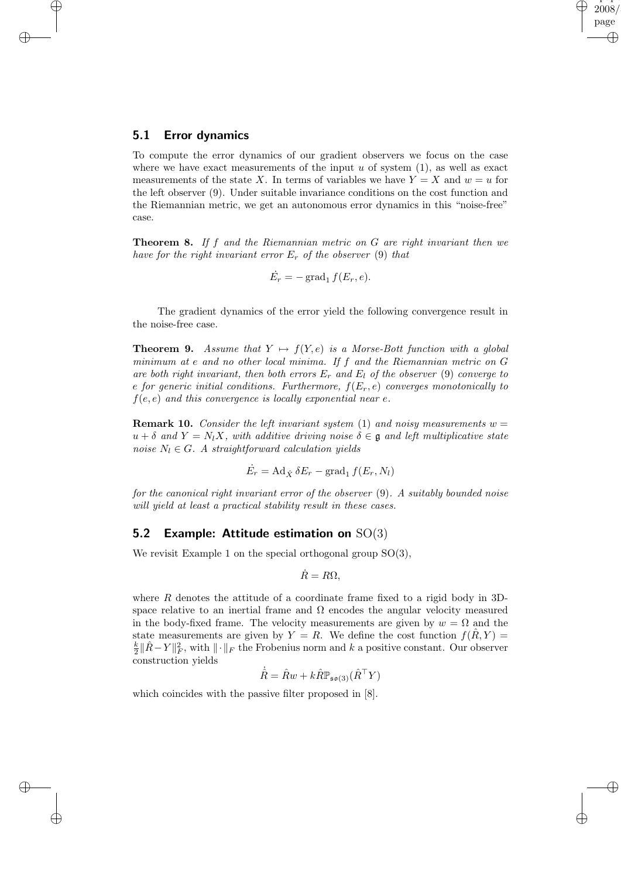#### 5.1 Error dynamics

✐

✐

✐

 $\oplus$ 

To compute the error dynamics of our gradient observers we focus on the case where we have exact measurements of the input  $u$  of system  $(1)$ , as well as exact measurements of the state X. In terms of variables we have  $Y = X$  and  $w = u$  for the left observer (9). Under suitable invariance conditions on the cost function and the Riemannian metric, we get an autonomous error dynamics in this "noise-free" case.

"paper"  $\,2008\,$ page

✐

✐

✐

✐

**Theorem 8.** If f and the Riemannian metric on  $G$  are right invariant then we have for the right invariant error  $E_r$  of the observer (9) that

$$
\dot{E}_r = -\operatorname{grad}_1 f(E_r, e).
$$

The gradient dynamics of the error yield the following convergence result in the noise-free case.

**Theorem 9.** Assume that  $Y \mapsto f(Y, e)$  is a Morse-Bott function with a global minimum at e and no other local minima. If f and the Riemannian metric on G are both right invariant, then both errors  $E_r$  and  $E_l$  of the observer (9) converge to e for generic initial conditions. Furthermore,  $f(E_r, e)$  converges monotonically to  $f(e, e)$  and this convergence is locally exponential near e.

**Remark 10.** Consider the left invariant system (1) and noisy measurements  $w =$  $u + \delta$  and  $Y = N_l X$ , with additive driving noise  $\delta \in \mathfrak{g}$  and left multiplicative state noise  $N_l \in G$ . A straightforward calculation yields

$$
\dot{E_r} = \mathrm{Ad}_{\hat{X}} \, \delta E_r - \mathrm{grad}_1 \, f(E_r, N_l)
$$

for the canonical right invariant error of the observer (9). A suitably bounded noise will yield at least a practical stability result in these cases.

#### 5.2 Example: Attitude estimation on  $SO(3)$

We revisit Example 1 on the special orthogonal group  $SO(3)$ ,

$$
\dot{R} = R\Omega,
$$

where  $R$  denotes the attitude of a coordinate frame fixed to a rigid body in 3Dspace relative to an inertial frame and  $\Omega$  encodes the angular velocity measured in the body-fixed frame. The velocity measurements are given by  $w = \Omega$  and the state measurements are given by  $Y = R$ . We define the cost function  $f(\hat{R}, Y) =$  $\frac{k}{2} \|\hat{R} - Y\|_F^2$ , with  $\|\cdot\|_F$  the Frobenius norm and k a positive constant. Our observer construction yields

$$
\dot{\hat{R}} = \hat{R}w + k\hat{R}\mathbb{P}_{\mathfrak{so}(3)}(\hat{R}^{\top}Y)
$$

which coincides with the passive filter proposed in [8].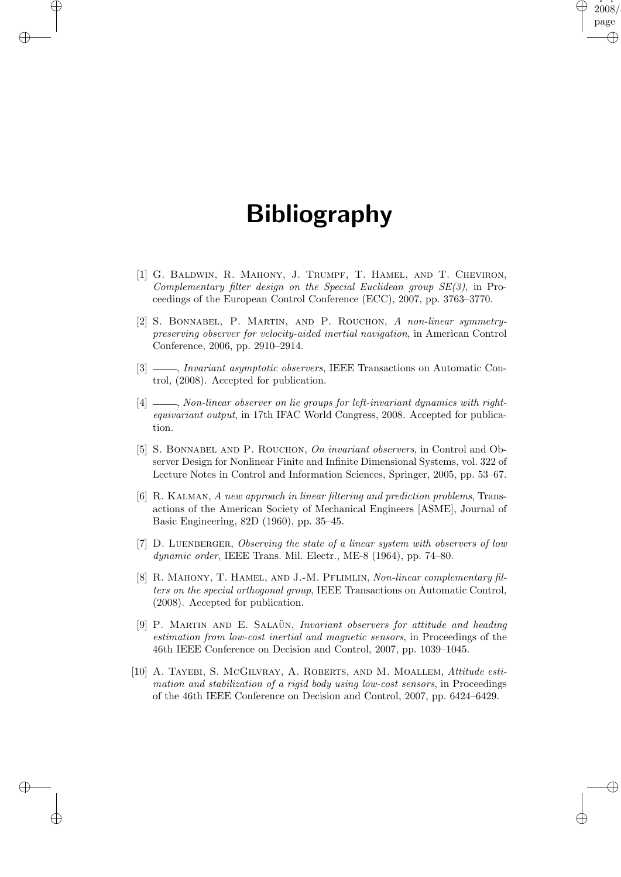# Bibliography

✐

✐

✐

 $\oplus$ 

"paper" 2008 page

✐

✐

✐

✐

- [1] G. Baldwin, R. Mahony, J. Trumpf, T. Hamel, and T. Cheviron, Complementary filter design on the Special Euclidean group SE(3), in Proceedings of the European Control Conference (ECC), 2007, pp. 3763–3770.
- [2] S. Bonnabel, P. Martin, and P. Rouchon, A non-linear symmetrypreserving observer for velocity-aided inertial navigation, in American Control Conference, 2006, pp. 2910–2914.
- [3]  $\frac{1}{2}$ , *Invariant asymptotic observers*, IEEE Transactions on Automatic Control, (2008). Accepted for publication.
- $\frac{1}{4}$ , Non-linear observer on lie groups for left-invariant dynamics with rightequivariant output, in 17th IFAC World Congress, 2008. Accepted for publication.
- [5] S. BONNABEL AND P. ROUCHON, On invariant observers, in Control and Observer Design for Nonlinear Finite and Infinite Dimensional Systems, vol. 322 of Lecture Notes in Control and Information Sciences, Springer, 2005, pp. 53–67.
- [6] R. Kalman, A new approach in linear filtering and prediction problems, Transactions of the American Society of Mechanical Engineers [ASME], Journal of Basic Engineering, 82D (1960), pp. 35–45.
- [7] D. Luenberger, Observing the state of a linear system with observers of low dynamic order, IEEE Trans. Mil. Electr., ME-8 (1964), pp. 74–80.
- [8] R. MAHONY, T. HAMEL, AND J.-M. PFLIMLIN, Non-linear complementary filters on the special orthogonal group, IEEE Transactions on Automatic Control, (2008). Accepted for publication.
- [9] P. MARTIN AND E. SALAÜN, Invariant observers for attitude and heading estimation from low-cost inertial and magnetic sensors, in Proceedings of the 46th IEEE Conference on Decision and Control, 2007, pp. 1039–1045.
- [10] A. Tayebi, S. McGilvray, A. Roberts, and M. Moallem, Attitude estimation and stabilization of a rigid body using low-cost sensors, in Proceedings of the 46th IEEE Conference on Decision and Control, 2007, pp. 6424–6429.